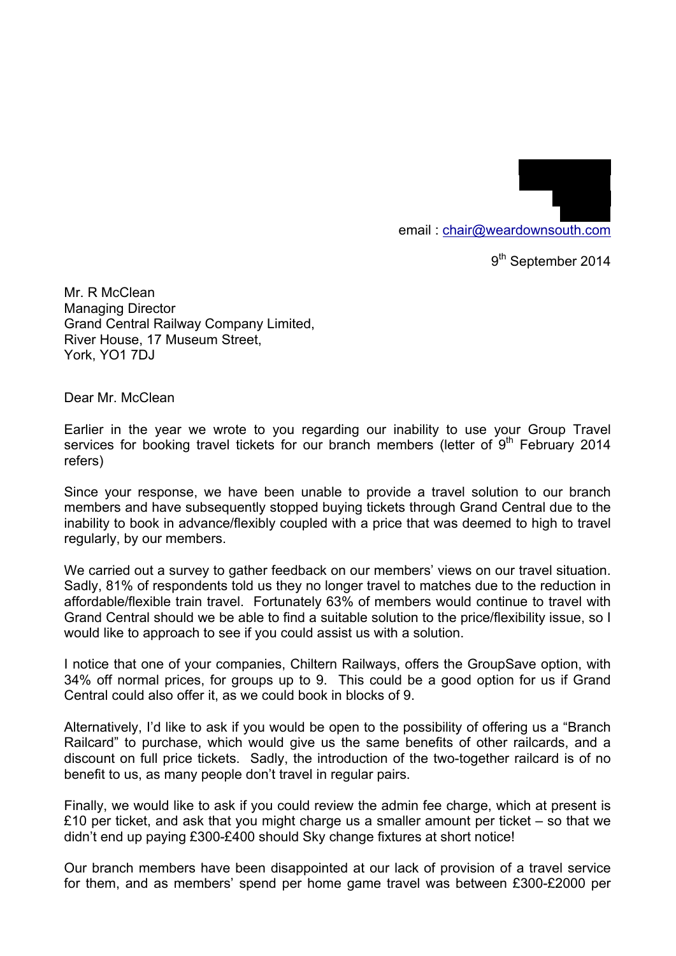email : chair@weardownsouth.com

9<sup>th</sup> September 2014

19 Laurel Drive Winchmore Hill

> LONDON N21 1LJ

Mr. R McClean Managing Director Grand Central Railway Company Limited, River House, 17 Museum Street, York, YO1 7DJ

Dear Mr. McClean

Earlier in the year we wrote to you regarding our inability to use your Group Travel services for booking travel tickets for our branch members (letter of  $9<sup>th</sup>$  February 2014 refers)

Since your response, we have been unable to provide a travel solution to our branch members and have subsequently stopped buying tickets through Grand Central due to the inability to book in advance/flexibly coupled with a price that was deemed to high to travel regularly, by our members.

We carried out a survey to gather feedback on our members' views on our travel situation. Sadly, 81% of respondents told us they no longer travel to matches due to the reduction in affordable/flexible train travel. Fortunately 63% of members would continue to travel with Grand Central should we be able to find a suitable solution to the price/flexibility issue, so I would like to approach to see if you could assist us with a solution.

I notice that one of your companies, Chiltern Railways, offers the GroupSave option, with 34% off normal prices, for groups up to 9. This could be a good option for us if Grand Central could also offer it, as we could book in blocks of 9.

Alternatively, I'd like to ask if you would be open to the possibility of offering us a "Branch Railcard" to purchase, which would give us the same benefits of other railcards, and a discount on full price tickets. Sadly, the introduction of the two-together railcard is of no benefit to us, as many people don't travel in regular pairs.

Finally, we would like to ask if you could review the admin fee charge, which at present is £10 per ticket, and ask that you might charge us a smaller amount per ticket – so that we didn't end up paying £300-£400 should Sky change fixtures at short notice!

Our branch members have been disappointed at our lack of provision of a travel service for them, and as members' spend per home game travel was between £300-£2000 per